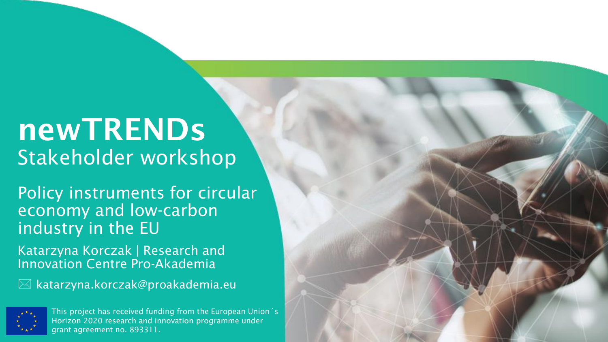# newTRENDs Stakeholder workshop

Policy instruments for circular economy and low-carbon industry in the EU

Katarzyna Korczak | Research and Innovation Centre Pro-Akademia

 $\boxtimes$  katarzyna.korczak@proakademia.eu



This project has received funding from the European Union´s Horizon 2020 research and innovation programme under grant agreement no. 893311.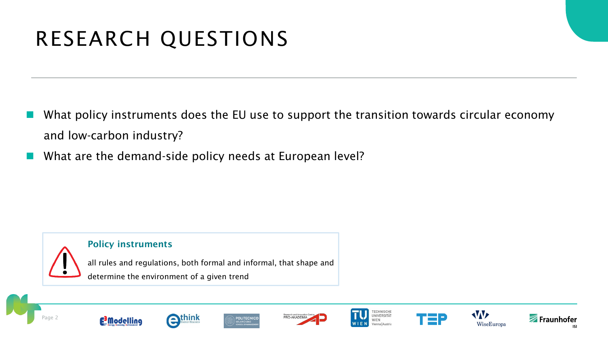# RESEARCH QUESTIONS

- What policy instruments does the EU use to support the transition towards circular economy and low-carbon industry?
- What are the demand-side policy needs at European level?



#### Policy instruments

all rules and regulations, both formal and informal, that shape and determine the environment of a given trend

















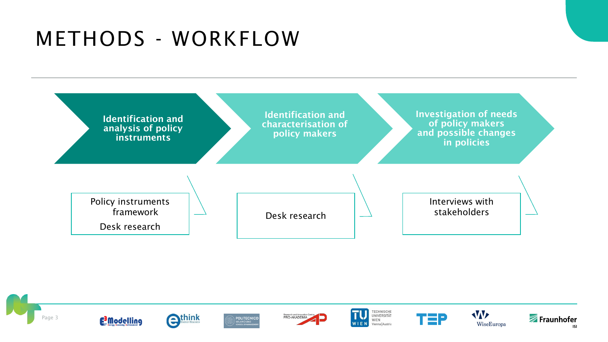# METHODS - WORKFLOW



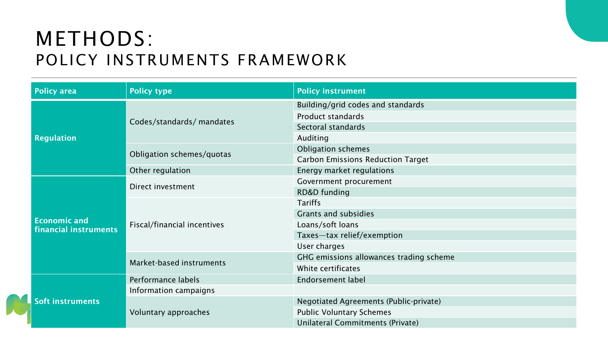## METHODS: POLICY INSTRUMENTS FRAMEWORK

| <b>Policy area</b>      | <b>Policy type</b>          | <b>Policy instrument</b>                 |  |  |
|-------------------------|-----------------------------|------------------------------------------|--|--|
|                         |                             | Building/grid codes and standards        |  |  |
|                         | Codes/standards/ mandates   | <b>Product standards</b>                 |  |  |
|                         |                             | Sectoral standards                       |  |  |
| <b>Regulation</b>       |                             | Auditing                                 |  |  |
|                         | Obligation schemes/quotas   | <b>Obligation schemes</b>                |  |  |
|                         |                             | <b>Carbon Emissions Reduction Target</b> |  |  |
|                         | Other regulation            | Energy market regulations                |  |  |
|                         | Direct investment           | Government procurement                   |  |  |
|                         |                             | RD&D funding                             |  |  |
|                         |                             | <b>Tariffs</b>                           |  |  |
| <b>Economic and</b>     | Fiscal/financial incentives | Grants and subsidies                     |  |  |
| financial instruments   |                             | Loans/soft loans                         |  |  |
|                         |                             | Taxes-tax relief/exemption               |  |  |
|                         |                             | User charges                             |  |  |
|                         | Market-based instruments    | GHG emissions allowances trading scheme  |  |  |
|                         |                             | White certificates                       |  |  |
|                         | Performance labels          | <b>Endorsement label</b>                 |  |  |
|                         | Information campaigns       |                                          |  |  |
| <b>Soft instruments</b> |                             | Negotiated Agreements (Public-private)   |  |  |
|                         | Voluntary approaches        | <b>Public Voluntary Schemes</b>          |  |  |
|                         |                             | Unilateral Commitments (Private)         |  |  |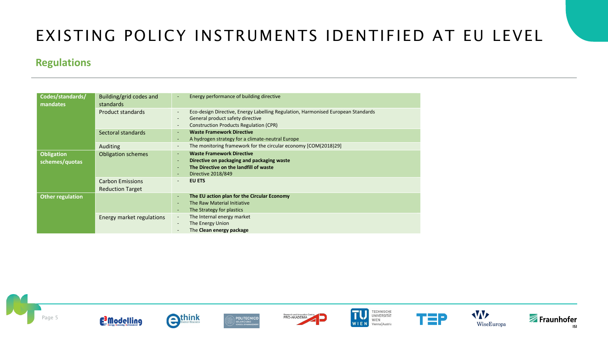### EXISTING POLICY INSTRUMENTS IDENTIFIED AT EU LEVEL

#### **Regulations**

| Codes/standards/<br>mandates        | Building/grid codes and<br>standards               | Energy performance of building directive<br>٠                                                                                                                                                     |  |  |
|-------------------------------------|----------------------------------------------------|---------------------------------------------------------------------------------------------------------------------------------------------------------------------------------------------------|--|--|
|                                     | <b>Product standards</b>                           | Eco-design Directive, Energy Labelling Regulation, Harmonised European Standards<br>$\overline{\phantom{a}}$<br>General product safety directive<br><b>Construction Products Regulation (CPR)</b> |  |  |
|                                     | Sectoral standards                                 | <b>Waste Framework Directive</b><br>A hydrogen strategy for a climate-neutral Europe<br>$\overline{\phantom{a}}$                                                                                  |  |  |
|                                     | <b>Auditing</b>                                    | The monitoring framework for the circular economy [COM(2018)29]<br>$\overline{\phantom{a}}$                                                                                                       |  |  |
| <b>Obligation</b><br>schemes/quotas | <b>Obligation schemes</b>                          | <b>Waste Framework Directive</b><br>$\sim$<br>Directive on packaging and packaging waste<br>The Directive on the landfill of waste<br><b>Directive 2018/849</b>                                   |  |  |
|                                     | <b>Carbon Emissions</b><br><b>Reduction Target</b> | <b>EU ETS</b><br>$\overline{\phantom{a}}$                                                                                                                                                         |  |  |
| <b>Other regulation</b>             |                                                    | The EU action plan for the Circular Economy<br>$\overline{\phantom{a}}$<br>The Raw Material Initiative<br>The Strategy for plastics                                                               |  |  |
|                                     | Energy market regulations                          | The Internal energy market<br>$\overline{\phantom{a}}$<br>The Energy Union<br>The Clean energy package                                                                                            |  |  |

















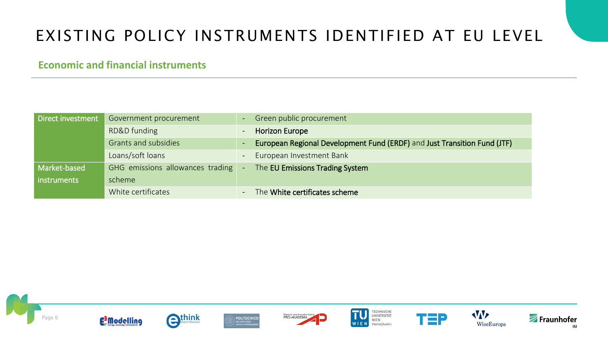## EXISTING POLICY INSTRUMENTS IDENTIFIED AT EU LEVEL

#### **Economic and financial instruments**

| Direct investment | Government procurement             | 7 - 7                    | Green public procurement                                                 |
|-------------------|------------------------------------|--------------------------|--------------------------------------------------------------------------|
|                   | RD&D funding                       | $\overline{\phantom{a}}$ | <b>Horizon Europe</b>                                                    |
|                   | <b>Grants and subsidies</b>        | $\blacksquare$           | European Regional Development Fund (ERDF) and Just Transition Fund (JTF) |
|                   | Loans/soft loans                   | $\overline{\phantom{a}}$ | European Investment Bank                                                 |
| Market-based      | GHG emissions allowances trading - |                          | The EU Emissions Trading System                                          |
| instruments       | scheme                             |                          |                                                                          |
|                   | White certificates                 | $\blacksquare$           | The White certificates scheme                                            |

















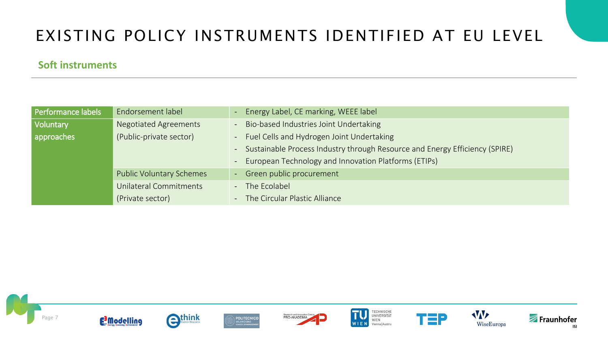## EXISTING POLICY INSTRUMENTS IDENTIFIED AT EU LEVEL

#### **Soft instruments**

| Performance labels | Endorsement label               | Energy Label, CE marking, WEEE label                                          |  |  |  |
|--------------------|---------------------------------|-------------------------------------------------------------------------------|--|--|--|
| Voluntary          | <b>Negotiated Agreements</b>    | Bio-based Industries Joint Undertaking                                        |  |  |  |
| approaches         | (Public-private sector)         | Fuel Cells and Hydrogen Joint Undertaking<br>$\Delta \phi$                    |  |  |  |
|                    |                                 | - Sustainable Process Industry through Resource and Energy Efficiency (SPIRE) |  |  |  |
|                    |                                 | European Technology and Innovation Platforms (ETIPs)                          |  |  |  |
|                    | <b>Public Voluntary Schemes</b> | - Green public procurement                                                    |  |  |  |
|                    | Unilateral Commitments          | - The Ecolabel                                                                |  |  |  |
|                    | (Private sector)                | - The Circular Plastic Alliance                                               |  |  |  |

















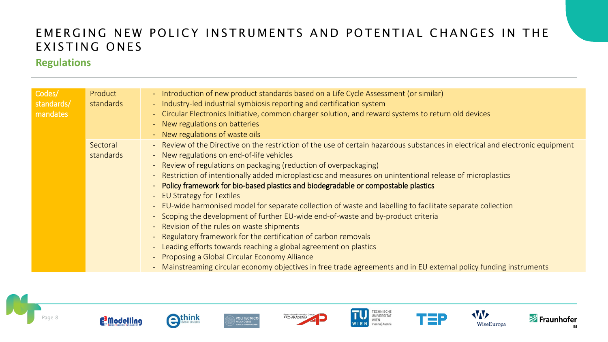#### **Regulations**

| Codes/     | Product   | - Introduction of new product standards based on a Life Cycle Assessment (or similar)                                                |
|------------|-----------|--------------------------------------------------------------------------------------------------------------------------------------|
| standards/ | standards | - Industry-led industrial symbiosis reporting and certification system                                                               |
| mandates   |           | - Circular Electronics Initiative, common charger solution, and reward systems to return old devices                                 |
|            |           | - New regulations on batteries                                                                                                       |
|            |           | - New regulations of waste oils                                                                                                      |
|            |           |                                                                                                                                      |
|            | Sectoral  | - Review of the Directive on the restriction of the use of certain hazardous substances in electrical and electronic equipment       |
|            | standards | - New regulations on end-of-life vehicles                                                                                            |
|            |           | - Review of regulations on packaging (reduction of overpackaging)                                                                    |
|            |           | Restriction of intentionally added microplasticsc and measures on unintentional release of microplastics<br>$\overline{\phantom{a}}$ |
|            |           | Policy framework for bio-based plastics and biodegradable or compostable plastics                                                    |
|            |           | <b>EU Strategy for Textiles</b>                                                                                                      |
|            |           | - EU-wide harmonised model for separate collection of waste and labelling to facilitate separate collection                          |
|            |           | - Scoping the development of further EU-wide end-of-waste and by-product criteria                                                    |
|            |           | - Revision of the rules on waste shipments                                                                                           |
|            |           | Regulatory framework for the certification of carbon removals<br>$ \,$                                                               |
|            |           | - Leading efforts towards reaching a global agreement on plastics                                                                    |
|            |           | Proposing a Global Circular Economy Alliance                                                                                         |
|            |           | - Mainstreaming circular economy objectives in free trade agreements and in EU external policy funding instruments                   |













ī





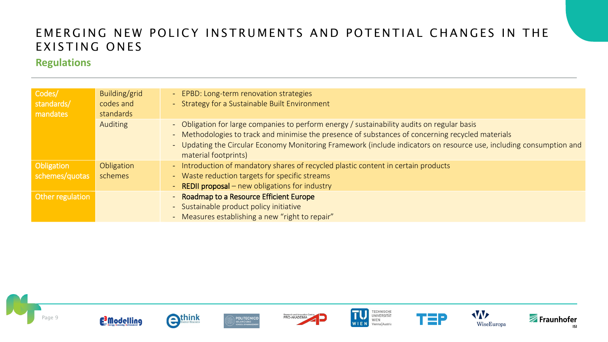#### **Regulations**

| Codes/<br>standards/<br>mandates | Building/grid<br>codes and<br>standards | - EPBD: Long-term renovation strategies<br>- Strategy for a Sustainable Built Environment                                                                                                                                                                                                                                                       |
|----------------------------------|-----------------------------------------|-------------------------------------------------------------------------------------------------------------------------------------------------------------------------------------------------------------------------------------------------------------------------------------------------------------------------------------------------|
|                                  | <b>Auditing</b>                         | - Obligation for large companies to perform energy / sustainability audits on regular basis<br>- Methodologies to track and minimise the presence of substances of concerning recycled materials<br>- Updating the Circular Economy Monitoring Framework (include indicators on resource use, including consumption and<br>material footprints) |
| Obligation<br>schemes/quotas     | Obligation<br>schemes                   | - Introduction of mandatory shares of recycled plastic content in certain products<br>- Waste reduction targets for specific streams<br>- REDII proposal – new obligations for industry                                                                                                                                                         |
| Other regulation                 |                                         | - Roadmap to a Resource Efficient Europe<br>- Sustainable product policy initiative<br>- Measures establishing a new "right to repair"                                                                                                                                                                                                          |













T





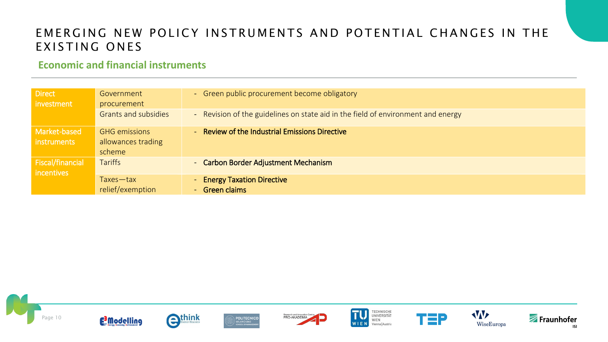#### **Economic and financial instruments**

| <b>Direct</b><br>investment           | Government<br>procurement                            | - Green public procurement become obligatory                                     |
|---------------------------------------|------------------------------------------------------|----------------------------------------------------------------------------------|
|                                       | <b>Grants and subsidies</b>                          | - Revision of the guidelines on state aid in the field of environment and energy |
| Market-based<br>instruments           | <b>GHG emissions</b><br>allowances trading<br>scheme | - Review of the Industrial Emissions Directive                                   |
| <b>Fiscal/financial</b><br>incentives | <b>Tariffs</b>                                       | - Carbon Border Adjustment Mechanism                                             |
|                                       | Taxes-tax<br>relief/exemption                        | - Energy Taxation Directive<br>- Green claims                                    |





WIEN





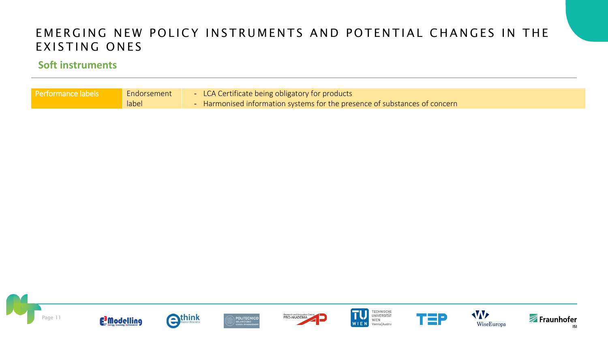#### **Soft instruments**

| <b>Performance labels</b><br>Endorsement<br>label | - LCA Certificate being obligatory for products<br>• Harmonised information systems for the presence of substances of concern |
|---------------------------------------------------|-------------------------------------------------------------------------------------------------------------------------------|
|---------------------------------------------------|-------------------------------------------------------------------------------------------------------------------------------|

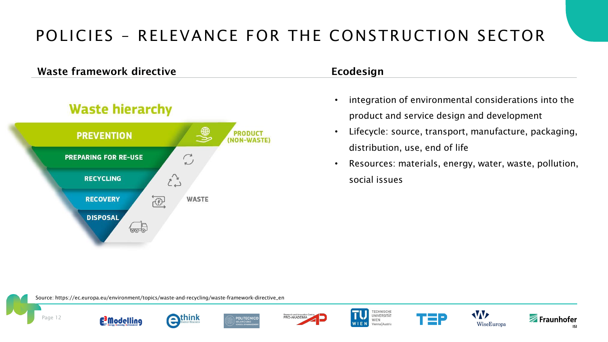### POLICIES – RELEVANCE FOR THE CONSTRUCTION SECTOR

#### Waste framework directive **Example 2018** Ecodesign



- integration of environmental considerations into the product and service design and development
- Lifecycle: source, transport, manufacture, packaging, distribution, use, end of life
- Resources: materials, energy, water, waste, pollution, social issues

Source: https://ec.europa.eu/environment/topics/waste-and-recycling/waste-framework-directive\_en



**F**<sup>3</sup>Modelling







**TECHNISCHE** UNIVERSITÄT WIEN Vienna | Austria





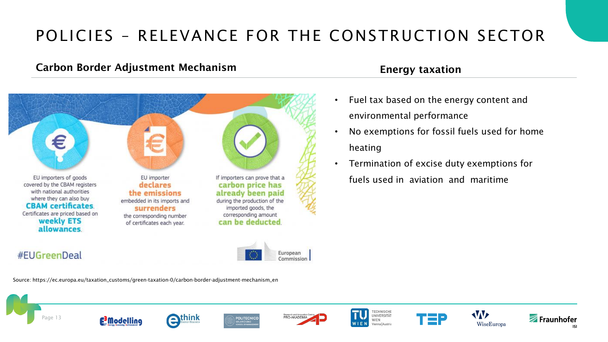### POLICIES – RELEVANCE FOR THE CONSTRUCTION SECTOR

#### Carbon Border Adjustment Mechanism Energy taxation



- Fuel tax based on the energy content and environmental performance
- No exemptions for fossil fuels used for home heating
- Termination of excise duty exemptions for fuels used in aviation and maritime

#### #EUGreenDeal



Source: https://ec.europa.eu/taxation\_customs/green-taxation-0/carbon-border-adjustment-mechanism\_en

















![](_page_12_Picture_18.jpeg)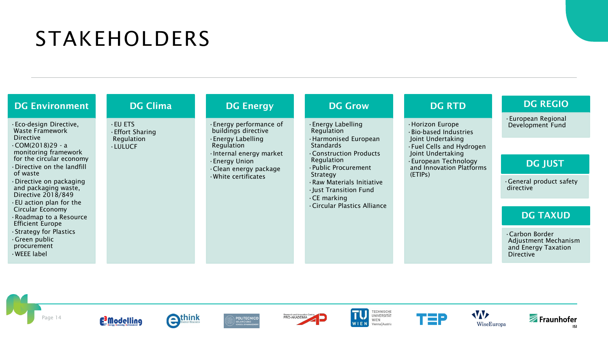# STAKEHOLDERS

| <b>DG Environment</b>                                                        | <b>DG Clima</b>                                                                                                                                                                                                                                           | <b>DG Energy</b>                                                                                                                                                                                                                      | <b>DG Grow</b>                     | <b>DG RTD</b>                                                                                                  | <b>DG REGIO</b>                                                                  |
|------------------------------------------------------------------------------|-----------------------------------------------------------------------------------------------------------------------------------------------------------------------------------------------------------------------------------------------------------|---------------------------------------------------------------------------------------------------------------------------------------------------------------------------------------------------------------------------------------|------------------------------------|----------------------------------------------------------------------------------------------------------------|----------------------------------------------------------------------------------|
| · Eco-design Directive,<br>Waste Framework<br>Directive                      | · Energy performance of<br>$·$ EU ETS<br>· Energy Labelling<br>· Horizon Europe<br>buildings directive<br>Regulation<br>· Bio-based Industries<br><b>Effort Sharing</b><br>· Energy Labelling<br>· Harmonised European<br>Regulation<br>Joint Undertaking | · European Regional<br>Development Fund                                                                                                                                                                                               |                                    |                                                                                                                |                                                                                  |
| $-COM(2018)29 - a$<br>monitoring framework                                   | <b>LULUCF</b>                                                                                                                                                                                                                                             | Regulation<br>· Internal energy market                                                                                                                                                                                                | Standards<br>Construction Products | . Fuel Cells and Hydrogen<br>Joint Undertaking<br>· European Technology<br>and Innovation Platforms<br>(ETIPs) |                                                                                  |
| for the circular economy<br>· Directive on the landfill                      |                                                                                                                                                                                                                                                           | Regulation<br>· Energy Union<br>· Public Procurement<br>· Clean energy package<br>Strategy<br>· White certificates<br>· Raw Materials Initiative<br>· Just Transition Fund<br>$\cdot$ CE marking<br><b>Circular Plastics Alliance</b> |                                    |                                                                                                                | <b>DG JUST</b>                                                                   |
| of waste<br>Directive on packaging<br>and packaging waste,                   |                                                                                                                                                                                                                                                           |                                                                                                                                                                                                                                       |                                    |                                                                                                                | General product safety<br>directive                                              |
| Directive 2018/849<br>· EU action plan for the                               |                                                                                                                                                                                                                                                           |                                                                                                                                                                                                                                       |                                    |                                                                                                                |                                                                                  |
| Circular Economy<br>· Roadmap to a Resource<br><b>Efficient Europe</b>       |                                                                                                                                                                                                                                                           |                                                                                                                                                                                                                                       |                                    |                                                                                                                | <b>DG TAXUD</b>                                                                  |
| Strategy for Plastics<br>$\cdot$ Green public<br>procurement<br>· WEEE label |                                                                                                                                                                                                                                                           |                                                                                                                                                                                                                                       |                                    |                                                                                                                | Carbon Border<br>Adjustment Mechanism<br>and Energy Taxation<br><b>Directive</b> |

![](_page_13_Picture_2.jpeg)

![](_page_13_Picture_3.jpeg)

![](_page_13_Picture_4.jpeg)

![](_page_13_Picture_5.jpeg)

![](_page_13_Picture_6.jpeg)

![](_page_13_Picture_7.jpeg)

![](_page_13_Picture_8.jpeg)

![](_page_13_Picture_9.jpeg)

WiseEuropa

![](_page_13_Picture_10.jpeg)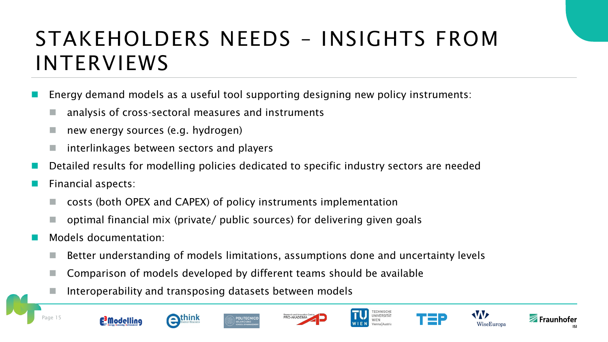# STAKEHOLDERS NEEDS – INSIGHTS FROM INTERVIEWS

- Energy demand models as a useful tool supporting designing new policy instruments:
	- analysis of cross-sectoral measures and instruments
	- new energy sources (e.g. hydrogen)
	- ◼ interlinkages between sectors and players
- Detailed results for modelling policies dedicated to specific industry sectors are needed
- Financial aspects:
	- ◼ costs (both OPEX and CAPEX) of policy instruments implementation
	- optimal financial mix (private/ public sources) for delivering given goals
- Models documentation:
	- Better understanding of models limitations, assumptions done and uncertainty levels
	- ◼ Comparison of models developed by different teams should be available
	- Interoperability and transposing datasets between models

![](_page_14_Picture_13.jpeg)

![](_page_14_Picture_14.jpeg)

![](_page_14_Picture_15.jpeg)

![](_page_14_Picture_16.jpeg)

![](_page_14_Picture_17.jpeg)

![](_page_14_Picture_18.jpeg)

![](_page_14_Picture_19.jpeg)

![](_page_14_Picture_20.jpeg)